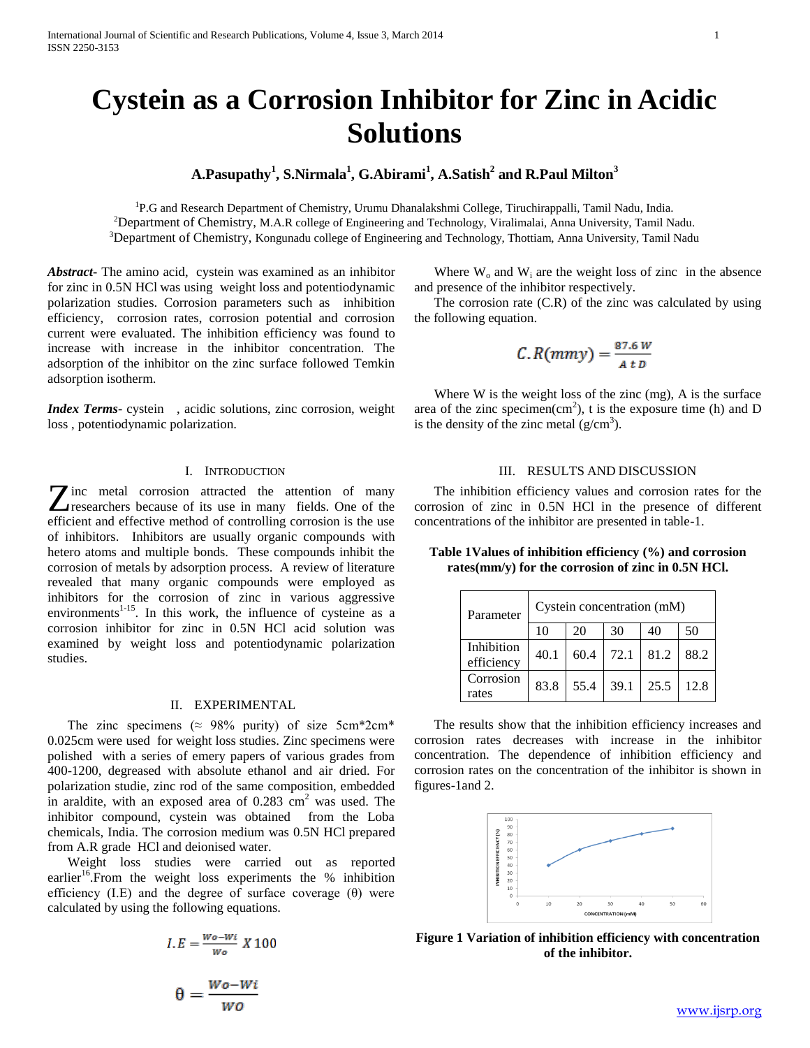# **Cystein as a Corrosion Inhibitor for Zinc in Acidic Solutions**

## **A.Pasupathy<sup>1</sup> , S.Nirmala<sup>1</sup> , G.Abirami<sup>1</sup> , A.Satish<sup>2</sup> and R.Paul Milton<sup>3</sup>**

<sup>1</sup>P.G and Research Department of Chemistry, Urumu Dhanalakshmi College, Tiruchirappalli, Tamil Nadu, India. <sup>2</sup>Department of Chemistry, M.A.R college of Engineering and Technology, Viralimalai, Anna University, Tamil Nadu. <sup>3</sup>Department of Chemistry, Kongunadu college of Engineering and Technology, Thottiam, Anna University, Tamil Nadu

 $\Gamma$ 

*Abstract***-** The amino acid, cystein was examined as an inhibitor for zinc in 0.5N HCl was using weight loss and potentiodynamic polarization studies. Corrosion parameters such as inhibition efficiency, corrosion rates, corrosion potential and corrosion current were evaluated. The inhibition efficiency was found to increase with increase in the inhibitor concentration. The adsorption of the inhibitor on the zinc surface followed Temkin adsorption isotherm.

*Index Terms*- cystein , acidic solutions, zinc corrosion, weight loss , potentiodynamic polarization.

## I. INTRODUCTION

inc metal corrosion attracted the attention of many **Z** inc metal corrosion attracted the attention of many<br>researchers because of its use in many fields. One of the efficient and effective method of controlling corrosion is the use of inhibitors. Inhibitors are usually organic compounds with hetero atoms and multiple bonds. These compounds inhibit the corrosion of metals by adsorption process. A review of literature revealed that many organic compounds were employed as inhibitors for the corrosion of zinc in various aggressive environments $1-15$ . In this work, the influence of cysteine as a corrosion inhibitor for zinc in 0.5N HCl acid solution was examined by weight loss and potentiodynamic polarization studies.

## II. EXPERIMENTAL

The zinc specimens ( $\approx$  98% purity) of size 5cm\*2cm\* 0.025cm were used for weight loss studies. Zinc specimens were polished with a series of emery papers of various grades from 400-1200, degreased with absolute ethanol and air dried. For polarization studie, zinc rod of the same composition, embedded in araldite, with an exposed area of  $0.283 \text{ cm}^2$  was used. The inhibitor compound, cystein was obtained from the Loba chemicals, India. The corrosion medium was 0.5N HCl prepared from A.R grade HCl and deionised water.

 Weight loss studies were carried out as reported earlier<sup>16</sup>. From the weight loss experiments the  $%$  inhibition efficiency (I.E) and the degree of surface coverage  $(\theta)$  were calculated by using the following equations.

$$
I.E = \frac{Wo - Wi}{Wo} X 100
$$

$$
\theta = \frac{Wo - Wi}{Wo}
$$

Where  $W_0$  and  $W_i$  are the weight loss of zinc in the absence and presence of the inhibitor respectively.

 The corrosion rate (C.R) of the zinc was calculated by using the following equation.

$$
C. R(mmy) = \frac{87.6 W}{A \cdot b}
$$

Where W is the weight loss of the zinc (mg), A is the surface area of the zinc specimen $(cm<sup>2</sup>)$ , t is the exposure time (h) and D is the density of the zinc metal  $(g/cm<sup>3</sup>)$ .

## III. RESULTS AND DISCUSSION

 The inhibition efficiency values and corrosion rates for the corrosion of zinc in 0.5N HCl in the presence of different concentrations of the inhibitor are presented in table-1.

**Table 1Values of inhibition efficiency (%) and corrosion rates(mm/y) for the corrosion of zinc in 0.5N HCl.**

| Parameter                | Cystein concentration (mM) |      |      |      |      |  |
|--------------------------|----------------------------|------|------|------|------|--|
|                          | 10                         | 20   | 30   | 40   | 50   |  |
| Inhibition<br>efficiency | 40.1                       | 60.4 | 72.1 | 81.2 | 88.2 |  |
| Corrosion<br>rates       | 83.8                       | 55.4 | 39.1 | 25.5 | 12.8 |  |

 The results show that the inhibition efficiency increases and corrosion rates decreases with increase in the inhibitor concentration. The dependence of inhibition efficiency and corrosion rates on the concentration of the inhibitor is shown in figures-1and 2.



**Figure 1 Variation of inhibition efficiency with concentration of the inhibitor.**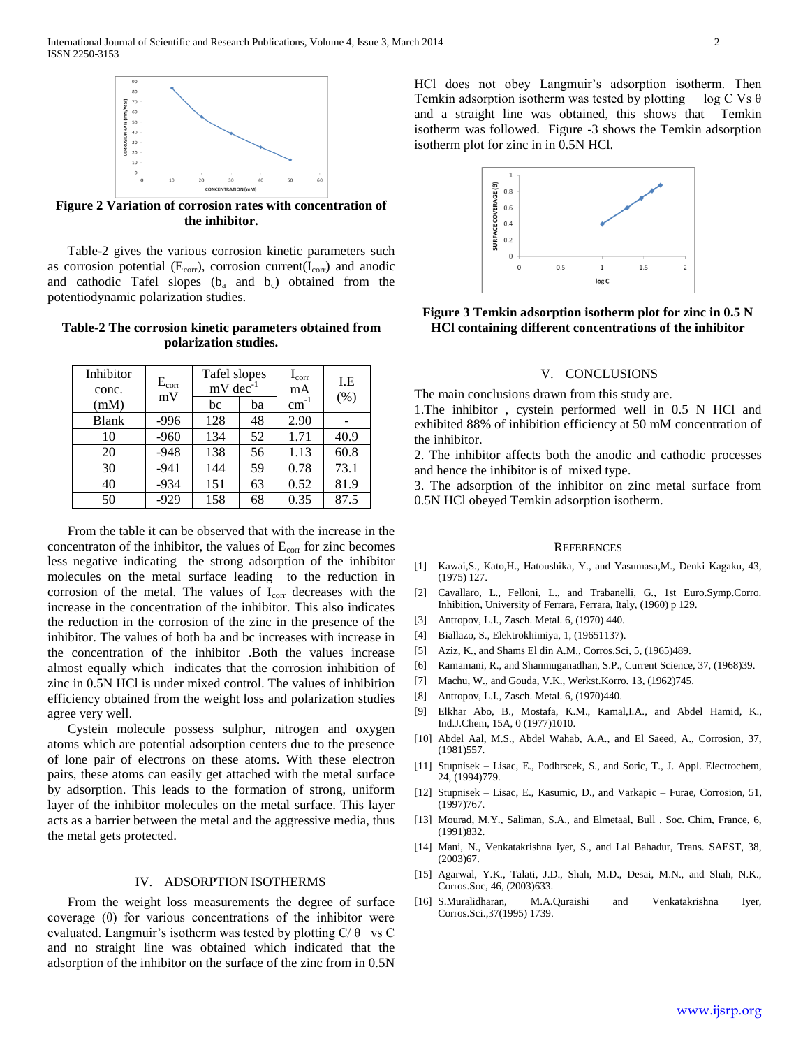

**Figure 2 Variation of corrosion rates with concentration of the inhibitor.**

 Table-2 gives the various corrosion kinetic parameters such as corrosion potential  $(E_{corr})$ , corrosion current( $I_{corr}$ ) and anodic and cathodic Tafel slopes  $(b_a \text{ and } b_c)$  obtained from the potentiodynamic polarization studies.

## **Table-2 The corrosion kinetic parameters obtained from polarization studies.**

| Inhibitor<br>conc. | $E_{\rm corr}$<br>mV | Tafel slopes<br>$mV$ dec <sup>-1</sup> |    | $I_{\rm corr}$<br>mA | I.E<br>(% ) |
|--------------------|----------------------|----------------------------------------|----|----------------------|-------------|
| (mM)               |                      | bc                                     | ba | $\text{cm}^{-1}$     |             |
| <b>Blank</b>       | $-996$               | 128                                    | 48 | 2.90                 |             |
| 10                 | $-960$               | 134                                    | 52 | 1.71                 | 40.9        |
| 20                 | $-948$               | 138                                    | 56 | 1.13                 | 60.8        |
| 30                 | $-941$               | 144                                    | 59 | 0.78                 | 73.1        |
| 40                 | $-934$               | 151                                    | 63 | 0.52                 | 81.9        |
| 50                 | $-929$               | 158                                    | 68 | 0.35                 | 87.5        |

 From the table it can be observed that with the increase in the concentraton of the inhibitor, the values of  $E_{\text{corr}}$  for zinc becomes less negative indicating the strong adsorption of the inhibitor molecules on the metal surface leading to the reduction in corrosion of the metal. The values of  $I_{\text{corr}}$  decreases with the increase in the concentration of the inhibitor. This also indicates the reduction in the corrosion of the zinc in the presence of the inhibitor. The values of both ba and bc increases with increase in the concentration of the inhibitor .Both the values increase almost equally which indicates that the corrosion inhibition of zinc in 0.5N HCl is under mixed control. The values of inhibition efficiency obtained from the weight loss and polarization studies agree very well.

 Cystein molecule possess sulphur, nitrogen and oxygen atoms which are potential adsorption centers due to the presence of lone pair of electrons on these atoms. With these electron pairs, these atoms can easily get attached with the metal surface by adsorption. This leads to the formation of strong, uniform layer of the inhibitor molecules on the metal surface. This layer acts as a barrier between the metal and the aggressive media, thus the metal gets protected.

## IV. ADSORPTION ISOTHERMS

 From the weight loss measurements the degree of surface coverage (θ) for various concentrations of the inhibitor were evaluated. Langmuir's isotherm was tested by plotting  $C/\theta$  vs C and no straight line was obtained which indicated that the adsorption of the inhibitor on the surface of the zinc from in 0.5N HCl does not obey Langmuir's adsorption isotherm. Then Temkin adsorption isotherm was tested by plotting log C Vs  $\theta$ and a straight line was obtained, this shows that Temkin isotherm was followed. Figure -3 shows the Temkin adsorption isotherm plot for zinc in in 0.5N HCl.



**Figure 3 Temkin adsorption isotherm plot for zinc in 0.5 N HCl containing different concentrations of the inhibitor**

### V. CONCLUSIONS

The main conclusions drawn from this study are.

1.The inhibitor , cystein performed well in 0.5 N HCl and exhibited 88% of inhibition efficiency at 50 mM concentration of the inhibitor.

2. The inhibitor affects both the anodic and cathodic processes and hence the inhibitor is of mixed type.

3. The adsorption of the inhibitor on zinc metal surface from 0.5N HCl obeyed Temkin adsorption isotherm.

#### **REFERENCES**

- [1] Kawai,S., Kato,H., Hatoushika, Y., and Yasumasa,M., Denki Kagaku, 43, (1975) 127.
- [2] Cavallaro, L., Felloni, L., and Trabanelli, G., 1st Euro.Symp.Corro. Inhibition, University of Ferrara, Ferrara, Italy, (1960) p 129.
- [3] Antropov, L.I., Zasch. Metal. 6, (1970) 440.
- [4] Biallazo, S., Elektrokhimiya, 1, (19651137).
- [5] Aziz, K., and Shams El din A.M., Corros.Sci, 5, (1965)489.
- [6] Ramamani, R., and Shanmuganadhan, S.P., Current Science, 37, (1968)39.
- [7] Machu, W., and Gouda, V.K., Werkst.Korro. 13, (1962)745.
- [8] Antropov, L.I., Zasch. Metal. 6, (1970)440.
- [9] Elkhar Abo, B., Mostafa, K.M., Kamal,I.A., and Abdel Hamid, K., Ind.J.Chem, 15A, 0 (1977)1010.
- [10] Abdel Aal, M.S., Abdel Wahab, A.A., and El Saeed, A., Corrosion, 37, (1981)557.
- [11] Stupnisek Lisac, E., Podbrscek, S., and Soric, T., J. Appl. Electrochem, 24, (1994)779.
- [12] Stupnisek Lisac, E., Kasumic, D., and Varkapic Furae, Corrosion, 51, (1997)767.
- [13] Mourad, M.Y., Saliman, S.A., and Elmetaal, Bull . Soc. Chim, France, 6, (1991)832.
- [14] Mani, N., Venkatakrishna Iyer, S., and Lal Bahadur, Trans. SAEST, 38, (2003)67.
- [15] Agarwal, Y.K., Talati, J.D., Shah, M.D., Desai, M.N., and Shah, N.K., Corros.Soc, 46, (2003)633.
- [16] S.Muralidharan, M.A.Quraishi and Venkatakrishna Iyer, Corros.Sci.,37(1995) 1739.